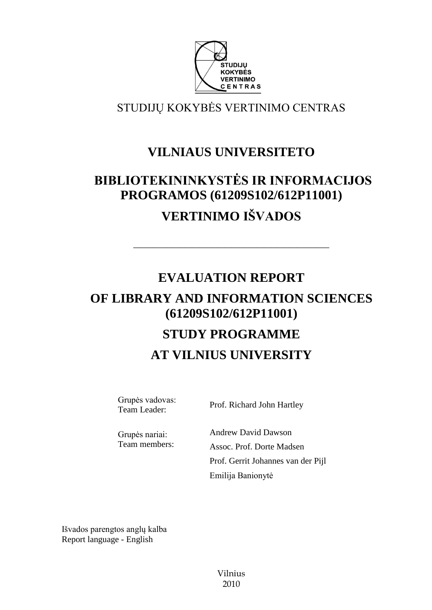

STUDIJŲ KOKYBĖS VERTINIMO CENTRAS

# **VILNIAUS UNIVERSITETO**

# **BIBLIOTEKININKYSTĖS IR INFORMACIJOS PROGRAMOS (61209S102/612P11001) VERTINIMO IŠVADOS**

––––––––––––––––––––––––––––––

# **EVALUATION REPORT OF LIBRARY AND INFORMATION SCIENCES (61209S102/612P11001) STUDY PROGRAMME AT VILNIUS UNIVERSITY**

Grupės vadovas:

Team Leader: Prof. Richard John Hartley

Grupės nariai: Team members: Andrew David Dawson Assoc. Prof. Dorte Madsen Prof. Gerrit Johannes van der Pijl Emilija Banionytė

Išvados parengtos anglų kalba Report language - English

> Vilnius 2010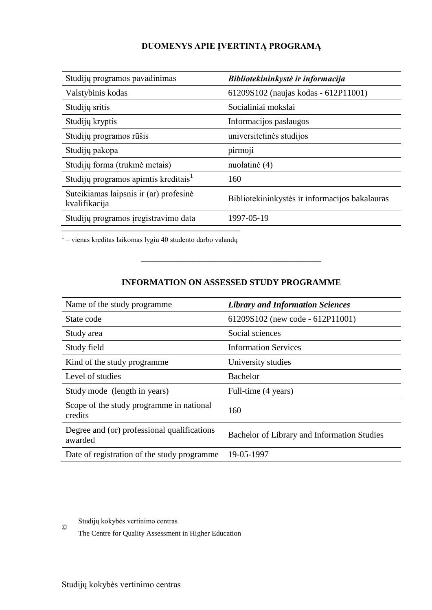# **DUOMENYS APIE ĮVERTINTĄ PROGRAMĄ**

| Studijų programos pavadinimas                           | Bibliotekininkystė ir informacija              |
|---------------------------------------------------------|------------------------------------------------|
| Valstybinis kodas                                       | 61209S102 (naujas kodas - 612P11001)           |
| Studijų sritis                                          | Socialiniai mokslai                            |
| Studijų kryptis                                         | Informacijos paslaugos                         |
| Studijų programos rūšis                                 | universitetinės studijos                       |
| Studijų pakopa                                          | pirmoji                                        |
| Studijų forma (trukmė metais)                           | nuolatinė (4)                                  |
| Studijų programos apimtis kreditais <sup>1</sup>        | 160                                            |
| Suteikiamas laipsnis ir (ar) profesinė<br>kvalifikacija | Bibliotekininkystės ir informacijos bakalauras |
| Studijų programos įregistravimo data                    | 1997-05-19                                     |

–<br><sup>1</sup> – vienas kreditas laikomas lygiu 40 studento darbo valandų

# **INFORMATION ON ASSESSED STUDY PROGRAMME**

–––––––––––––––––––––––––––––––

| Name of the study programme.                           | <b>Library and Information Sciences</b>     |
|--------------------------------------------------------|---------------------------------------------|
| State code                                             | 61209S102 (new code - 612P11001)            |
| Study area                                             | Social sciences                             |
| Study field                                            | <b>Information Services</b>                 |
| Kind of the study programme                            | University studies                          |
| Level of studies                                       | <b>Bachelor</b>                             |
| Study mode (length in years)                           | Full-time (4 years)                         |
| Scope of the study programme in national<br>credits    | 160                                         |
| Degree and (or) professional qualifications<br>awarded | Bachelor of Library and Information Studies |
| Date of registration of the study programme            | 19-05-1997                                  |

© Studijų kokybės vertinimo centras

The Centre for Quality Assessment in Higher Education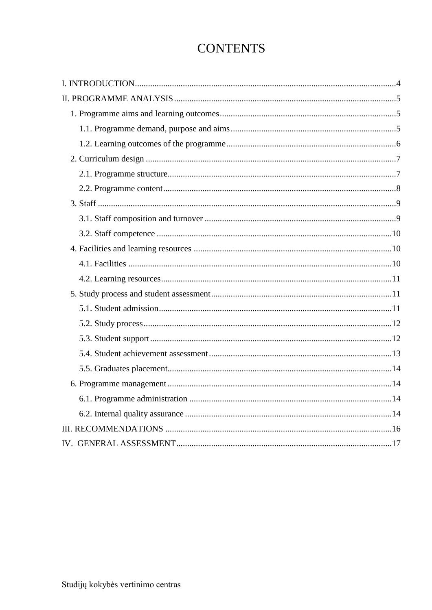# **CONTENTS**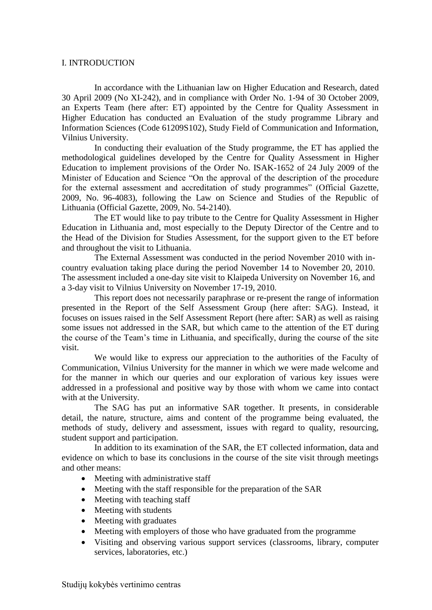# <span id="page-3-0"></span>I. INTRODUCTION

In accordance with the Lithuanian law on Higher Education and Research, dated 30 April 2009 (No XI-242), and in compliance with Order No. 1-94 of 30 October 2009, an Experts Team (here after: ET) appointed by the Centre for Quality Assessment in Higher Education has conducted an Evaluation of the study programme Library and Information Sciences (Code 61209S102), Study Field of Communication and Information, Vilnius University.

In conducting their evaluation of the Study programme, the ET has applied the methodological guidelines developed by the Centre for Quality Assessment in Higher Education to implement provisions of the Order No. ISAK-1652 of 24 July 2009 of the Minister of Education and Science "On the approval of the description of the procedure for the external assessment and accreditation of study programmes" (Official Gazette, 2009, No. 96-4083), following the Law on Science and Studies of the Republic of Lithuania (Official Gazette, 2009, No. 54-2140).

The ET would like to pay tribute to the Centre for Quality Assessment in Higher Education in Lithuania and, most especially to the Deputy Director of the Centre and to the Head of the Division for Studies Assessment, for the support given to the ET before and throughout the visit to Lithuania.

The External Assessment was conducted in the period November 2010 with incountry evaluation taking place during the period November 14 to November 20, 2010. The assessment included a one-day site visit to Klaipeda University on November 16, and a 3-day visit to Vilnius University on November 17-19, 2010.

This report does not necessarily paraphrase or re-present the range of information presented in the Report of the Self Assessment Group (here after: SAG). Instead, it focuses on issues raised in the Self Assessment Report (here after: SAR) as well as raising some issues not addressed in the SAR, but which came to the attention of the ET during the course of the Team's time in Lithuania, and specifically, during the course of the site visit.

We would like to express our appreciation to the authorities of the Faculty of Communication, Vilnius University for the manner in which we were made welcome and for the manner in which our queries and our exploration of various key issues were addressed in a professional and positive way by those with whom we came into contact with at the University.

The SAG has put an informative SAR together. It presents, in considerable detail, the nature, structure, aims and content of the programme being evaluated, the methods of study, delivery and assessment, issues with regard to quality, resourcing, student support and participation.

In addition to its examination of the SAR, the ET collected information, data and evidence on which to base its conclusions in the course of the site visit through meetings and other means:

- Meeting with administrative staff
- Meeting with the staff responsible for the preparation of the SAR
- Meeting with teaching staff
- Meeting with students
- Meeting with graduates
- Meeting with employers of those who have graduated from the programme
- Visiting and observing various support services (classrooms, library, computer services, laboratories, etc.)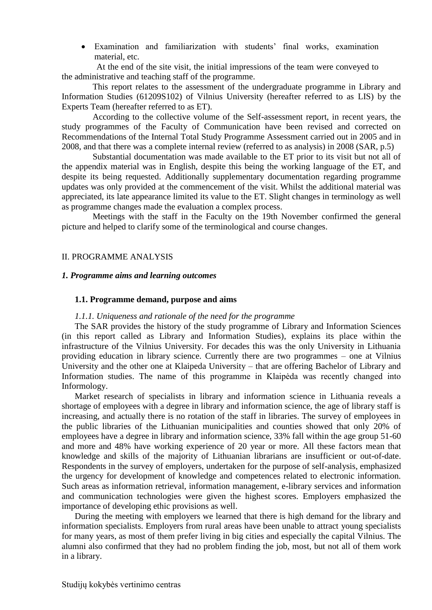Examination and familiarization with students' final works, examination material, etc.

At the end of the site visit, the initial impressions of the team were conveyed to the administrative and teaching staff of the programme.

This report relates to the assessment of the undergraduate programme in Library and Information Studies (61209S102) of Vilnius University (hereafter referred to as LIS) by the Experts Team (hereafter referred to as ET).

According to the collective volume of the Self-assessment report, in recent years, the study programmes of the Faculty of Communication have been revised and corrected on Recommendations of the Internal Total Study Programme Assessment carried out in 2005 and in 2008, and that there was a complete internal review (referred to as analysis) in 2008 (SAR, p.5)

Substantial documentation was made available to the ET prior to its visit but not all of the appendix material was in English, despite this being the working language of the ET, and despite its being requested. Additionally supplementary documentation regarding programme updates was only provided at the commencement of the visit. Whilst the additional material was appreciated, its late appearance limited its value to the ET. Slight changes in terminology as well as programme changes made the evaluation a complex process.

Meetings with the staff in the Faculty on the 19th November confirmed the general picture and helped to clarify some of the terminological and course changes.

# <span id="page-4-1"></span><span id="page-4-0"></span>II. PROGRAMME ANALYSIS

#### *1. Programme aims and learning outcomes*

#### <span id="page-4-2"></span> **1.1. Programme demand, purpose and aims**

#### *1.1.1. Uniqueness and rationale of the need for the programme*

The SAR provides the history of the study programme of Library and Information Sciences (in this report called as Library and Information Studies), explains its place within the infrastructure of the Vilnius University. For decades this was the only University in Lithuania providing education in library science. Currently there are two programmes – one at Vilnius University and the other one at Klaipeda University – that are offering Bachelor of Library and Information studies. The name of this programme in Klaipėda was recently changed into Informology.

Market research of specialists in library and information science in Lithuania reveals a shortage of employees with a degree in library and information science, the age of library staff is increasing, and actually there is no rotation of the staff in libraries. The survey of employees in the public libraries of the Lithuanian municipalities and counties showed that only 20% of employees have a degree in library and information science, 33% fall within the age group 51-60 and more and 48% have working experience of 20 year or more. All these factors mean that knowledge and skills of the majority of Lithuanian librarians are insufficient or out-of-date. Respondents in the survey of employers, undertaken for the purpose of self-analysis, emphasized the urgency for development of knowledge and competences related to electronic information. Such areas as information retrieval, information management, e-library services and information and communication technologies were given the highest scores. Employers emphasized the importance of developing ethic provisions as well.

During the meeting with employers we learned that there is high demand for the library and information specialists. Employers from rural areas have been unable to attract young specialists for many years, as most of them prefer living in big cities and especially the capital Vilnius. The alumni also confirmed that they had no problem finding the job, most, but not all of them work in a library.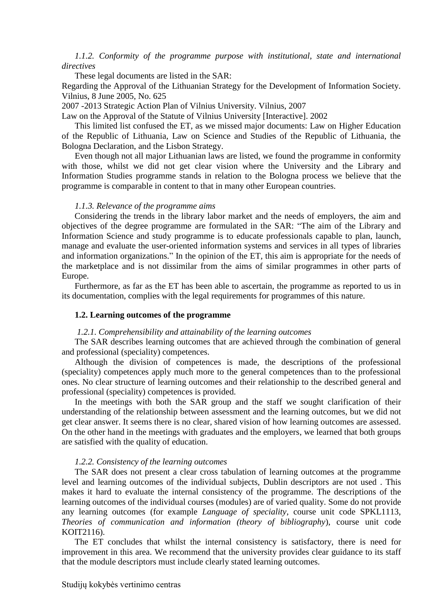# *1.1.2. Conformity of the programme purpose with institutional, state and international directives*

These legal documents are listed in the SAR:

Regarding the Approval of the Lithuanian Strategy for the Development of Information Society. Vilnius, 8 June 2005, No. 625

2007 -2013 Strategic Action Plan of Vilnius University. Vilnius, 2007

Law on the Approval of the Statute of Vilnius University [Interactive]. 2002

This limited list confused the ET, as we missed major documents: Law on Higher Education of the Republic of Lithuania, Law on Science and Studies of the Republic of Lithuania, the Bologna Declaration, and the Lisbon Strategy.

Even though not all major Lithuanian laws are listed, we found the programme in conformity with those, whilst we did not get clear vision where the University and the Library and Information Studies programme stands in relation to the Bologna process we believe that the programme is comparable in content to that in many other European countries.

# *1.1.3. Relevance of the programme aims*

Considering the trends in the library labor market and the needs of employers, the aim and objectives of the degree programme are formulated in the SAR: "The aim of the Library and Information Science and study programme is to educate professionals capable to plan, launch, manage and evaluate the user-oriented information systems and services in all types of libraries and information organizations." In the opinion of the ET, this aim is appropriate for the needs of the marketplace and is not dissimilar from the aims of similar programmes in other parts of Europe.

Furthermore, as far as the ET has been able to ascertain, the programme as reported to us in its documentation, complies with the legal requirements for programmes of this nature.

#### <span id="page-5-0"></span> **1.2. Learning outcomes of the programme**

#### *1.2.1. Comprehensibility and attainability of the learning outcomes*

The SAR describes learning outcomes that are achieved through the combination of general and professional (speciality) competences.

Although the division of competences is made, the descriptions of the professional (speciality) competences apply much more to the general competences than to the professional ones. No clear structure of learning outcomes and their relationship to the described general and professional (speciality) competences is provided.

In the meetings with both the SAR group and the staff we sought clarification of their understanding of the relationship between assessment and the learning outcomes, but we did not get clear answer. It seems there is no clear, shared vision of how learning outcomes are assessed. On the other hand in the meetings with graduates and the employers, we learned that both groups are satisfied with the quality of education.

#### *1.2.2. Consistency of the learning outcomes*

The SAR does not present a clear cross tabulation of learning outcomes at the programme level and learning outcomes of the individual subjects, Dublin descriptors are not used . This makes it hard to evaluate the internal consistency of the programme. The descriptions of the learning outcomes of the individual courses (modules) are of varied quality. Some do not provide any learning outcomes (for example *Language of speciality*, course unit code SPKL1113, *Theories of communication and information (theory of bibliography*), course unit code KOIT2116).

The ET concludes that whilst the internal consistency is satisfactory, there is need for improvement in this area. We recommend that the university provides clear guidance to its staff that the module descriptors must include clearly stated learning outcomes.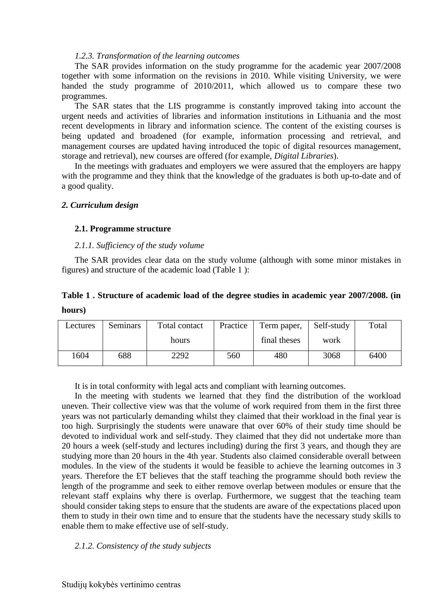#### *1.2.3. Transformation of the learning outcomes*

The SAR provides information on the study programme for the academic year 2007/2008 together with some information on the revisions in 2010. While visiting University, we were handed the study programme of 2010/2011, which allowed us to compare these two programmes.

The SAR states that the LIS programme is constantly improved taking into account the urgent needs and activities of libraries and information institutions in Lithuania and the most recent developments in library and information science. The content of the existing courses is being updated and broadened (for example, information processing and retrieval, and management courses are updated having introduced the topic of digital resources management, storage and retrieval), new courses are offered (for example, *Digital Libraries*).

In the meetings with graduates and employers we were assured that the employers are happy with the programme and they think that the knowledge of the graduates is both up-to-date and of a good quality.

# <span id="page-6-0"></span>*2. Curriculum design*

# <span id="page-6-1"></span> **2.1. Programme structure**

# *2.1.1. Sufficiency of the study volume*

The SAR provides clear data on the study volume (although with some minor mistakes in figures) and structure of the academic load (Table 1 ):

# **Table 1 . Structure of academic load of the degree studies in academic year 2007/2008. (in hours)**

| Lectures | Seminars | Total contact | Practice<br>Term paper, |              | Self-study | Total |
|----------|----------|---------------|-------------------------|--------------|------------|-------|
|          |          | hours         |                         | final theses | work       |       |
| 604      | 688      | 2292          | 560                     | 480          | 3068       | 6400  |

It is in total conformity with legal acts and compliant with learning outcomes.

In the meeting with students we learned that they find the distribution of the workload uneven. Their collective view was that the volume of work required from them in the first three years was not particularly demanding whilst they claimed that their workload in the final year is too high. Surprisingly the students were unaware that over 60% of their study time should be devoted to individual work and self-study. They claimed that they did not undertake more than 20 hours a week (self-study and lectures including) during the first 3 years, and though they are studying more than 20 hours in the 4th year. Students also claimed considerable overall between modules. In the view of the students it would be feasible to achieve the learning outcomes in 3 years. Therefore the ET believes that the staff teaching the programme should both review the length of the programme and seek to either remove overlap between modules or ensure that the relevant staff explains why there is overlap. Furthermore, we suggest that the teaching team should consider taking steps to ensure that the students are aware of the expectations placed upon them to study in their own time and to ensure that the students have the necessary study skills to enable them to make effective use of self-study.

# *2.1.2. Consistency of the study subjects*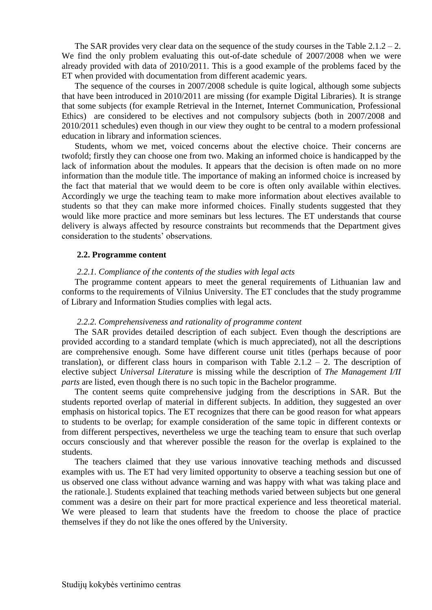The SAR provides very clear data on the sequence of the study courses in the Table  $2.1.2 - 2.$ We find the only problem evaluating this out-of-date schedule of 2007/2008 when we were already provided with data of 2010/2011. This is a good example of the problems faced by the ET when provided with documentation from different academic years.

The sequence of the courses in 2007/2008 schedule is quite logical, although some subjects that have been introduced in 2010/2011 are missing (for example Digital Libraries). It is strange that some subjects (for example Retrieval in the Internet, Internet Communication, Professional Ethics) are considered to be electives and not compulsory subjects (both in 2007/2008 and 2010/2011 schedules) even though in our view they ought to be central to a modern professional education in library and information sciences.

Students, whom we met, voiced concerns about the elective choice. Their concerns are twofold; firstly they can choose one from two. Making an informed choice is handicapped by the lack of information about the modules. It appears that the decision is often made on no more information than the module title. The importance of making an informed choice is increased by the fact that material that we would deem to be core is often only available within electives. Accordingly we urge the teaching team to make more information about electives available to students so that they can make more informed choices. Finally students suggested that they would like more practice and more seminars but less lectures. The ET understands that course delivery is always affected by resource constraints but recommends that the Department gives consideration to the students' observations.

# <span id="page-7-0"></span> **2.2. Programme content**

#### *2.2.1. Compliance of the contents of the studies with legal acts*

The programme content appears to meet the general requirements of Lithuanian law and conforms to the requirements of Vilnius University. The ET concludes that the study programme of Library and Information Studies complies with legal acts.

#### *2.2.2. Comprehensiveness and rationality of programme content*

The SAR provides detailed description of each subject. Even though the descriptions are provided according to a standard template (which is much appreciated), not all the descriptions are comprehensive enough. Some have different course unit titles (perhaps because of poor translation), or different class hours in comparison with Table  $2.1.2 - 2$ . The description of elective subject *Universal Literature* is missing while the description of *The Management I/II parts* are listed, even though there is no such topic in the Bachelor programme.

The content seems quite comprehensive judging from the descriptions in SAR. But the students reported overlap of material in different subjects. In addition, they suggested an over emphasis on historical topics. The ET recognizes that there can be good reason for what appears to students to be overlap; for example consideration of the same topic in different contexts or from different perspectives, nevertheless we urge the teaching team to ensure that such overlap occurs consciously and that wherever possible the reason for the overlap is explained to the students.

The teachers claimed that they use various innovative teaching methods and discussed examples with us. The ET had very limited opportunity to observe a teaching session but one of us observed one class without advance warning and was happy with what was taking place and the rationale.]. Students explained that teaching methods varied between subjects but one general comment was a desire on their part for more practical experience and less theoretical material. We were pleased to learn that students have the freedom to choose the place of practice themselves if they do not like the ones offered by the University.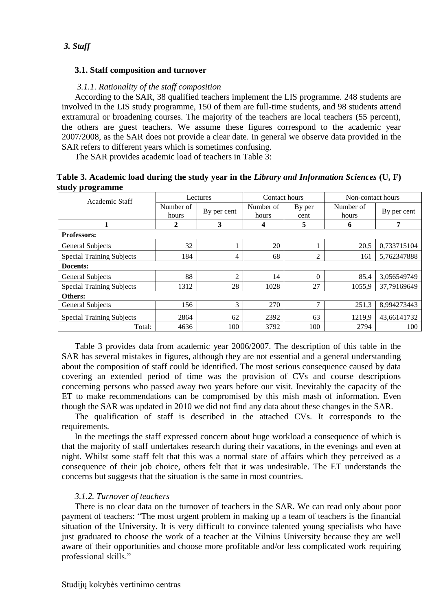# <span id="page-8-1"></span><span id="page-8-0"></span> **3.1. Staff composition and turnover**

# *3.1.1. Rationality of the staff composition*

According to the SAR, 38 qualified teachers implement the LIS programme*.* 248 students are involved in the LIS study programme, 150 of them are full-time students, and 98 students attend extramural or broadening courses. The majority of the teachers are local teachers (55 percent), the others are guest teachers. We assume these figures correspond to the academic year 2007/2008, as the SAR does not provide a clear date. In general we observe data provided in the SAR refers to different years which is sometimes confusing.

The SAR provides academic load of teachers in Table 3:

| Table 3. Academic load during the study year in the Library and Information Sciences $(U, F)$ |  |  |  |
|-----------------------------------------------------------------------------------------------|--|--|--|
| study programme                                                                               |  |  |  |

| Academic Staff                   | Lectures                          |                | Contact hours      |                | Non-contact hours  |             |  |
|----------------------------------|-----------------------------------|----------------|--------------------|----------------|--------------------|-------------|--|
|                                  | Number of<br>By per cent<br>hours |                | Number of<br>hours | By per<br>cent | Number of<br>hours | By per cent |  |
|                                  | 2                                 | 3              | 4                  | 5              | 6                  | 7           |  |
| <b>Professors:</b>               |                                   |                |                    |                |                    |             |  |
| <b>General Subjects</b>          | 32                                |                | 20                 |                | 20,5               | 0,733715104 |  |
| <b>Special Training Subjects</b> | 184                               | 4              | 68                 | 2              | 161                | 5,762347888 |  |
| Docents:                         |                                   |                |                    |                |                    |             |  |
| General Subjects                 | 88                                | $\overline{c}$ | 14                 | $\theta$       | 85,4               | 3,056549749 |  |
| <b>Special Training Subjects</b> | 1312                              | 28             | 1028               | 27             | 1055.9             | 37,79169649 |  |
| Others:                          |                                   |                |                    |                |                    |             |  |
| <b>General Subjects</b>          | 156                               | 3              | 270                | 7              | 251,3              | 8.994273443 |  |
| <b>Special Training Subjects</b> | 2864                              | 62             | 2392               | 63             | 1219.9             | 43,66141732 |  |
| Total:                           | 4636                              | 100            | 3792               | 100            | 2794               | 100         |  |

Table 3 provides data from academic year 2006/2007. The description of this table in the SAR has several mistakes in figures, although they are not essential and a general understanding about the composition of staff could be identified. The most serious consequence caused by data covering an extended period of time was the provision of CVs and course descriptions concerning persons who passed away two years before our visit. Inevitably the capacity of the ET to make recommendations can be compromised by this mish mash of information. Even though the SAR was updated in 2010 we did not find any data about these changes in the SAR.

The qualification of staff is described in the attached CVs. It corresponds to the requirements.

In the meetings the staff expressed concern about huge workload a consequence of which is that the majority of staff undertakes research during their vacations, in the evenings and even at night. Whilst some staff felt that this was a normal state of affairs which they perceived as a consequence of their job choice, others felt that it was undesirable. The ET understands the concerns but suggests that the situation is the same in most countries.

# *3.1.2. Turnover of teachers*

There is no clear data on the turnover of teachers in the SAR. We can read only about poor payment of teachers: "The most urgent problem in making up a team of teachers is the financial situation of the University. It is very difficult to convince talented young specialists who have just graduated to choose the work of a teacher at the Vilnius University because they are well aware of their opportunities and choose more profitable and/or less complicated work requiring professional skills."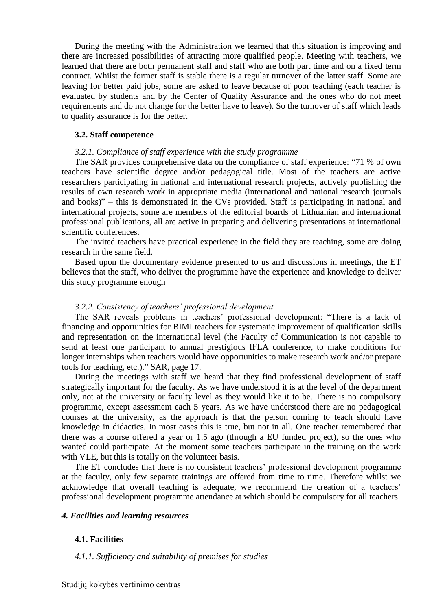During the meeting with the Administration we learned that this situation is improving and there are increased possibilities of attracting more qualified people. Meeting with teachers, we learned that there are both permanent staff and staff who are both part time and on a fixed term contract. Whilst the former staff is stable there is a regular turnover of the latter staff. Some are leaving for better paid jobs, some are asked to leave because of poor teaching (each teacher is evaluated by students and by the Center of Quality Assurance and the ones who do not meet requirements and do not change for the better have to leave). So the turnover of staff which leads to quality assurance is for the better.

#### <span id="page-9-0"></span> **3.2. Staff competence**

#### *3.2.1. Compliance of staff experience with the study programme*

The SAR provides comprehensive data on the compliance of staff experience: "71 % of own teachers have scientific degree and/or pedagogical title. Most of the teachers are active researchers participating in national and international research projects, actively publishing the results of own research work in appropriate media (international and national research journals and books)" – this is demonstrated in the CVs provided. Staff is participating in national and international projects, some are members of the editorial boards of Lithuanian and international professional publications, all are active in preparing and delivering presentations at international scientific conferences.

The invited teachers have practical experience in the field they are teaching, some are doing research in the same field.

Based upon the documentary evidence presented to us and discussions in meetings, the ET believes that the staff, who deliver the programme have the experience and knowledge to deliver this study programme enough

#### *3.2.2. Consistency of teachers' professional development*

The SAR reveals problems in teachers' professional development: "There is a lack of financing and opportunities for BIMI teachers for systematic improvement of qualification skills and representation on the international level (the Faculty of Communication is not capable to send at least one participant to annual prestigious IFLA conference, to make conditions for longer internships when teachers would have opportunities to make research work and/or prepare tools for teaching, etc.)." SAR, page 17.

During the meetings with staff we heard that they find professional development of staff strategically important for the faculty. As we have understood it is at the level of the department only, not at the university or faculty level as they would like it to be. There is no compulsory programme, except assessment each 5 years. As we have understood there are no pedagogical courses at the university, as the approach is that the person coming to teach should have knowledge in didactics. In most cases this is true, but not in all. One teacher remembered that there was a course offered a year or 1.5 ago (through a EU funded project), so the ones who wanted could participate. At the moment some teachers participate in the training on the work with VLE, but this is totally on the volunteer basis.

The ET concludes that there is no consistent teachers' professional development programme at the faculty, only few separate trainings are offered from time to time. Therefore whilst we acknowledge that overall teaching is adequate, we recommend the creation of a teachers' professional development programme attendance at which should be compulsory for all teachers.

#### <span id="page-9-1"></span>*4. Facilities and learning resources*

#### <span id="page-9-2"></span> **4.1. Facilities**

#### *4.1.1. Sufficiency and suitability of premises for studies*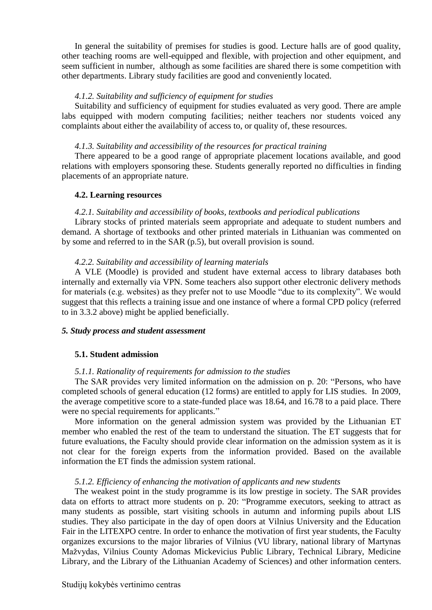In general the suitability of premises for studies is good. Lecture halls are of good quality, other teaching rooms are well-equipped and flexible, with projection and other equipment, and seem sufficient in number, although as some facilities are shared there is some competition with other departments. Library study facilities are good and conveniently located.

#### *4.1.2. Suitability and sufficiency of equipment for studies*

Suitability and sufficiency of equipment for studies evaluated as very good. There are ample labs equipped with modern computing facilities; neither teachers nor students voiced any complaints about either the availability of access to, or quality of, these resources.

#### *4.1.3. Suitability and accessibility of the resources for practical training*

There appeared to be a good range of appropriate placement locations available, and good relations with employers sponsoring these. Students generally reported no difficulties in finding placements of an appropriate nature.

# <span id="page-10-0"></span> **4.2. Learning resources**

# *4.2.1. Suitability and accessibility of books, textbooks and periodical publications*

Library stocks of printed materials seem appropriate and adequate to student numbers and demand. A shortage of textbooks and other printed materials in Lithuanian was commented on by some and referred to in the SAR (p.5), but overall provision is sound.

# *4.2.2. Suitability and accessibility of learning materials*

A VLE (Moodle) is provided and student have external access to library databases both internally and externally via VPN. Some teachers also support other electronic delivery methods for materials (e.g. websites) as they prefer not to use Moodle "due to its complexity". We would suggest that this reflects a training issue and one instance of where a formal CPD policy (referred to in 3.3.2 above) might be applied beneficially.

#### <span id="page-10-1"></span>*5. Study process and student assessment*

# <span id="page-10-2"></span> **5.1. Student admission**

# *5.1.1. Rationality of requirements for admission to the studies*

The SAR provides very limited information on the admission on p. 20: "Persons, who have completed schools of general education (12 forms) are entitled to apply for LIS studies. In 2009, the average competitive score to a state-funded place was 18.64, and 16.78 to a paid place. There were no special requirements for applicants."

More information on the general admission system was provided by the Lithuanian ET member who enabled the rest of the team to understand the situation. The ET suggests that for future evaluations, the Faculty should provide clear information on the admission system as it is not clear for the foreign experts from the information provided. Based on the available information the ET finds the admission system rational.

#### *5.1.2. Efficiency of enhancing the motivation of applicants and new students*

The weakest point in the study programme is its low prestige in society. The SAR provides data on efforts to attract more students on p. 20: "Programme executors, seeking to attract as many students as possible, start visiting schools in autumn and informing pupils about LIS studies. They also participate in the day of open doors at Vilnius University and the Education Fair in the LITEXPO centre. In order to enhance the motivation of first year students, the Faculty organizes excursions to the major libraries of Vilnius (VU library, national library of Martynas Mažvydas, Vilnius County Adomas Mickevicius Public Library, Technical Library, Medicine Library, and the Library of the Lithuanian Academy of Sciences) and other information centers.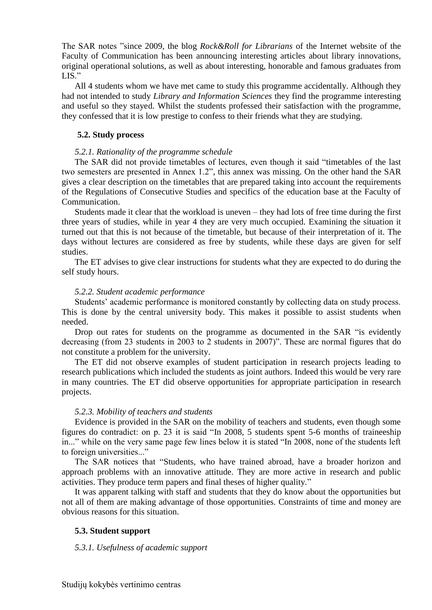The SAR notes "since 2009, the blog *Rock&Roll for Librarians* of the Internet website of the Faculty of Communication has been announcing interesting articles about library innovations, original operational solutions, as well as about interesting, honorable and famous graduates from LIS."

All 4 students whom we have met came to study this programme accidentally. Although they had not intended to study *Library and Information Sciences* they find the programme interesting and useful so they stayed. Whilst the students professed their satisfaction with the programme, they confessed that it is low prestige to confess to their friends what they are studying.

# <span id="page-11-0"></span> **5.2. Study process**

# *5.2.1. Rationality of the programme schedule*

The SAR did not provide timetables of lectures, even though it said "timetables of the last two semesters are presented in Annex 1.2", this annex was missing. On the other hand the SAR gives a clear description on the timetables that are prepared taking into account the requirements of the Regulations of Consecutive Studies and specifics of the education base at the Faculty of Communication.

Students made it clear that the workload is uneven – they had lots of free time during the first three years of studies, while in year 4 they are very much occupied. Examining the situation it turned out that this is not because of the timetable, but because of their interpretation of it. The days without lectures are considered as free by students, while these days are given for self studies.

The ET advises to give clear instructions for students what they are expected to do during the self study hours.

# *5.2.2. Student academic performance*

Students' academic performance is monitored constantly by collecting data on study process. This is done by the central university body. This makes it possible to assist students when needed.

Drop out rates for students on the programme as documented in the SAR "is evidently decreasing (from 23 students in 2003 to 2 students in 2007)". These are normal figures that do not constitute a problem for the university.

The ET did not observe examples of student participation in research projects leading to research publications which included the students as joint authors. Indeed this would be very rare in many countries. The ET did observe opportunities for appropriate participation in research projects.

# *5.2.3. Mobility of teachers and students*

Evidence is provided in the SAR on the mobility of teachers and students, even though some figures do contradict: on p. 23 it is said "In 2008, 5 students spent 5-6 months of traineeship in..." while on the very same page few lines below it is stated "In 2008, none of the students left to foreign universities..."

The SAR notices that "Students, who have trained abroad, have a broader horizon and approach problems with an innovative attitude. They are more active in research and public activities. They produce term papers and final theses of higher quality."

It was apparent talking with staff and students that they do know about the opportunities but not all of them are making advantage of those opportunities. Constraints of time and money are obvious reasons for this situation.

# <span id="page-11-1"></span>**5.3. Student support**

# *5.3.1. Usefulness of academic support*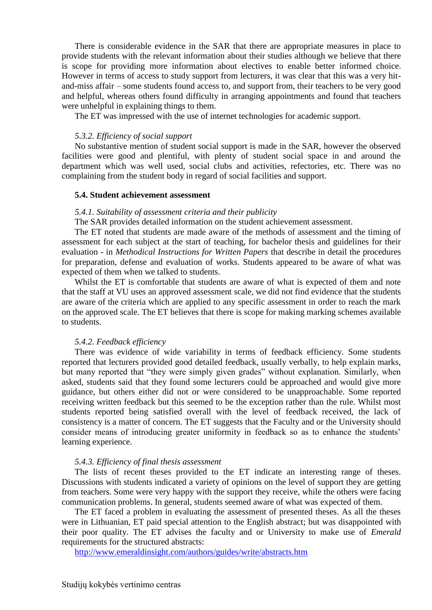There is considerable evidence in the SAR that there are appropriate measures in place to provide students with the relevant information about their studies although we believe that there is scope for providing more information about electives to enable better informed choice. However in terms of access to study support from lecturers, it was clear that this was a very hitand-miss affair – some students found access to, and support from, their teachers to be very good and helpful, whereas others found difficulty in arranging appointments and found that teachers were unhelpful in explaining things to them.

The ET was impressed with the use of internet technologies for academic support.

#### *5.3.2. Efficiency of social support*

No substantive mention of student social support is made in the SAR, however the observed facilities were good and plentiful, with plenty of student social space in and around the department which was well used, social clubs and activities, refectories, etc. There was no complaining from the student body in regard of social facilities and support.

#### <span id="page-12-0"></span> **5.4. Student achievement assessment**

#### *5.4.1. Suitability of assessment criteria and their publicity*

The SAR provides detailed information on the student achievement assessment.

The ET noted that students are made aware of the methods of assessment and the timing of assessment for each subject at the start of teaching, for bachelor thesis and guidelines for their evaluation - in *Methodical Instructions for Written Papers* that describe in detail the procedures for preparation, defense and evaluation of works. Students appeared to be aware of what was expected of them when we talked to students.

Whilst the ET is comfortable that students are aware of what is expected of them and note that the staff at VU uses an approved assessment scale, we did not find evidence that the students are aware of the criteria which are applied to any specific assessment in order to reach the mark on the approved scale. The ET believes that there is scope for making marking schemes available to students.

#### *5.4.2. Feedback efficiency*

There was evidence of wide variability in terms of feedback efficiency. Some students reported that lecturers provided good detailed feedback, usually verbally, to help explain marks, but many reported that "they were simply given grades" without explanation. Similarly, when asked, students said that they found some lecturers could be approached and would give more guidance, but others either did not or were considered to be unapproachable. Some reported receiving written feedback but this seemed to be the exception rather than the rule. Whilst most students reported being satisfied overall with the level of feedback received, the lack of consistency is a matter of concern. The ET suggests that the Faculty and or the University should consider means of introducing greater uniformity in feedback so as to enhance the students' learning experience.

#### *5.4.3. Efficiency of final thesis assessment*

The lists of recent theses provided to the ET indicate an interesting range of theses. Discussions with students indicated a variety of opinions on the level of support they are getting from teachers. Some were very happy with the support they receive, while the others were facing communication problems. In general, students seemed aware of what was expected of them.

The ET faced a problem in evaluating the assessment of presented theses. As all the theses were in Lithuanian, ET paid special attention to the English abstract; but was disappointed with their poor quality. The ET advises the faculty and or University to make use of *Emerald* requirements for the structured abstracts:

<http://www.emeraldinsight.com/authors/guides/write/abstracts.htm>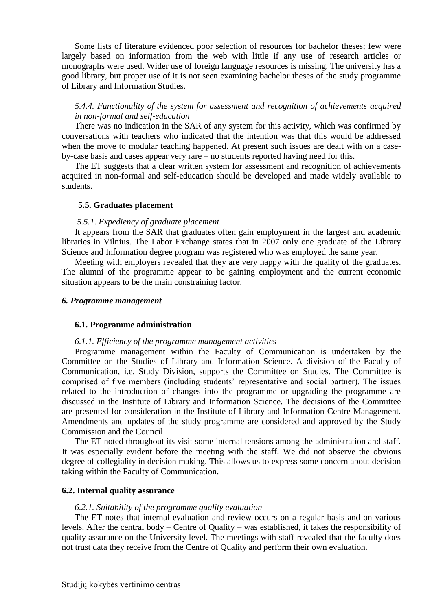Some lists of literature evidenced poor selection of resources for bachelor theses; few were largely based on information from the web with little if any use of research articles or monographs were used. Wider use of foreign language resources is missing. The university has a good library, but proper use of it is not seen examining bachelor theses of the study programme of Library and Information Studies.

# *5.4.4. Functionality of the system for assessment and recognition of achievements acquired in non-formal and self-education*

There was no indication in the SAR of any system for this activity, which was confirmed by conversations with teachers who indicated that the intention was that this would be addressed when the move to modular teaching happened. At present such issues are dealt with on a caseby-case basis and cases appear very rare – no students reported having need for this.

The ET suggests that a clear written system for assessment and recognition of achievements acquired in non-formal and self-education should be developed and made widely available to students.

#### <span id="page-13-0"></span> **5.5. Graduates placement**

#### *5.5.1. Expediency of graduate placement*

It appears from the SAR that graduates often gain employment in the largest and academic libraries in Vilnius. The Labor Exchange states that in 2007 only one graduate of the Library Science and Information degree program was registered who was employed the same year.

Meeting with employers revealed that they are very happy with the quality of the graduates. The alumni of the programme appear to be gaining employment and the current economic situation appears to be the main constraining factor.

#### <span id="page-13-1"></span>*6. Programme management*

#### <span id="page-13-2"></span> **6.1. Programme administration**

#### *6.1.1. Efficiency of the programme management activities*

Programme management within the Faculty of Communication is undertaken by the Committee on the Studies of Library and Information Science. A division of the Faculty of Communication, i.e. Study Division, supports the Committee on Studies. The Committee is comprised of five members (including students' representative and social partner). The issues related to the introduction of changes into the programme or upgrading the programme are discussed in the Institute of Library and Information Science. The decisions of the Committee are presented for consideration in the Institute of Library and Information Centre Management. Amendments and updates of the study programme are considered and approved by the Study Commission and the Council.

The ET noted throughout its visit some internal tensions among the administration and staff. It was especially evident before the meeting with the staff. We did not observe the obvious degree of collegiality in decision making. This allows us to express some concern about decision taking within the Faculty of Communication.

# <span id="page-13-3"></span>**6.2. Internal quality assurance**

#### *6.2.1. Suitability of the programme quality evaluation*

The ET notes that internal evaluation and review occurs on a regular basis and on various levels. After the central body – Centre of Quality – was established, it takes the responsibility of quality assurance on the University level. The meetings with staff revealed that the faculty does not trust data they receive from the Centre of Quality and perform their own evaluation.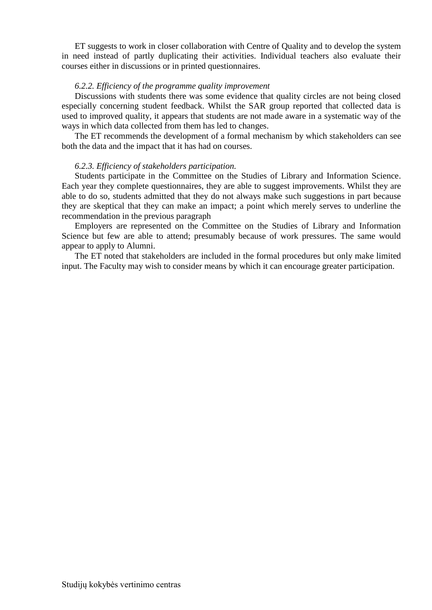ET suggests to work in closer collaboration with Centre of Quality and to develop the system in need instead of partly duplicating their activities. Individual teachers also evaluate their courses either in discussions or in printed questionnaires.

# *6.2.2. Efficiency of the programme quality improvement*

Discussions with students there was some evidence that quality circles are not being closed especially concerning student feedback. Whilst the SAR group reported that collected data is used to improved quality, it appears that students are not made aware in a systematic way of the ways in which data collected from them has led to changes.

The ET recommends the development of a formal mechanism by which stakeholders can see both the data and the impact that it has had on courses.

# *6.2.3. Efficiency of stakeholders participation.*

Students participate in the Committee on the Studies of Library and Information Science. Each year they complete questionnaires, they are able to suggest improvements. Whilst they are able to do so, students admitted that they do not always make such suggestions in part because they are skeptical that they can make an impact; a point which merely serves to underline the recommendation in the previous paragraph

Employers are represented on the Committee on the Studies of Library and Information Science but few are able to attend; presumably because of work pressures. The same would appear to apply to Alumni.

The ET noted that stakeholders are included in the formal procedures but only make limited input. The Faculty may wish to consider means by which it can encourage greater participation.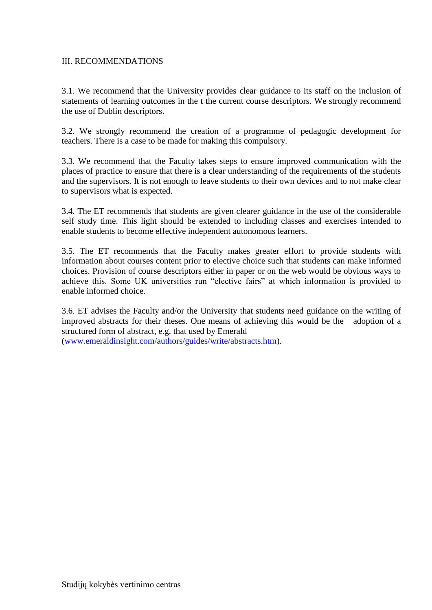# <span id="page-15-0"></span>III. RECOMMENDATIONS

3.1. We recommend that the University provides clear guidance to its staff on the inclusion of statements of learning outcomes in the t the current course descriptors. We strongly recommend the use of Dublin descriptors.

3.2. We strongly recommend the creation of a programme of pedagogic development for teachers. There is a case to be made for making this compulsory.

3.3. We recommend that the Faculty takes steps to ensure improved communication with the places of practice to ensure that there is a clear understanding of the requirements of the students and the supervisors. It is not enough to leave students to their own devices and to not make clear to supervisors what is expected.

3.4. The ET recommends that students are given clearer guidance in the use of the considerable self study time. This light should be extended to including classes and exercises intended to enable students to become effective independent autonomous learners.

3.5. The ET recommends that the Faculty makes greater effort to provide students with information about courses content prior to elective choice such that students can make informed choices. Provision of course descriptors either in paper or on the web would be obvious ways to achieve this. Some UK universities run "elective fairs" at which information is provided to enable informed choice.

3.6. ET advises the Faculty and/or the University that students need guidance on the writing of improved abstracts for their theses. One means of achieving this would be the adoption of a structured form of abstract, e.g. that used by Emerald [\(www.emeraldinsight.com/authors/guides/write/abstracts.htm\)](http://www.emeraldinsight.com/authors/guides/write/abstracts.htm).